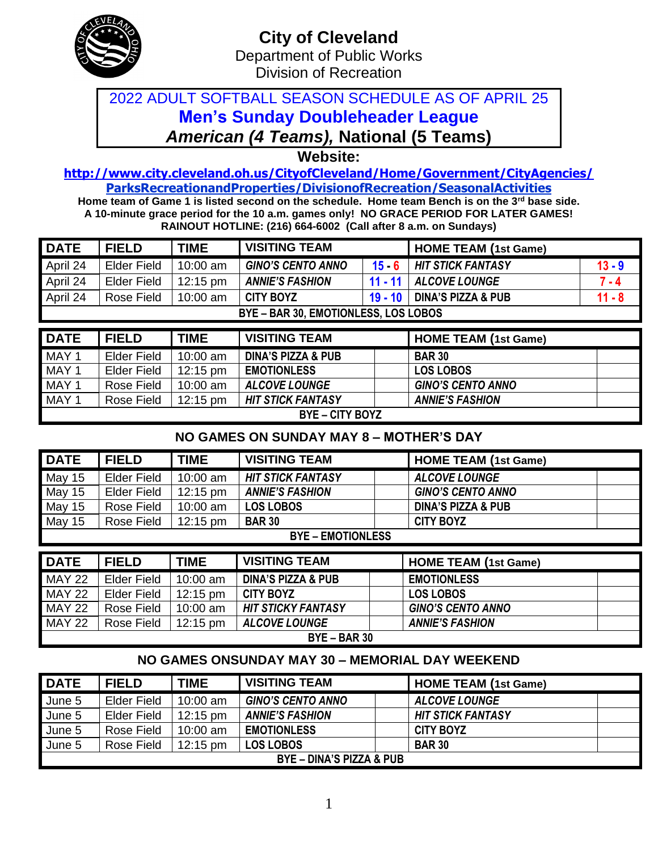

## 2022 ADULT SOFTBALL SEASON SCHEDULE AS OF APRIL 25 **Men's Sunday Doubleheader League** *American (4 Teams),* **National (5 Teams)**

**Website:** 

**<http://www.city.cleveland.oh.us/CityofCleveland/Home/Government/CityAgencies/> ParksRecreationandProperties/DivisionofRecreation/SeasonalActivities**

**Home team of Game 1 is listed second on the schedule. Home team Bench is on the 3rd base side. A 10-minute grace period for the 10 a.m. games only! NO GRACE PERIOD FOR LATER GAMES! RAINOUT HOTLINE: (216) 664-6002 (Call after 8 a.m. on Sundays)**

| <b>DATE</b> | <b>FIELD</b>       | <b>TIME</b>        | <b>VISITING TEAM</b>                 |                                            | <b>HOME TEAM (1st Game)</b> |          |
|-------------|--------------------|--------------------|--------------------------------------|--------------------------------------------|-----------------------------|----------|
| April 24    | <b>Elder Field</b> | 10:00 am           | <b>GINO'S CENTO ANNO</b>             | $15 \cdot 6$                               | <b>HIT STICK FANTASY</b>    | $13 - 9$ |
| April 24    | <b>Elder Field</b> | $12:15 \text{ pm}$ | <b>ANNIE'S FASHION</b>               | $11 - 11$                                  | <b>ALCOVE LOUNGE</b>        | $7 - 4$  |
| April 24    | Rose Field         | $10:00$ am         | <b>CITY BOYZ</b>                     | <b>DINA'S PIZZA &amp; PUB</b><br>$19 - 10$ |                             | $11 - 8$ |
|             |                    |                    | BYE - BAR 30, EMOTIONLESS, LOS LOBOS |                                            |                             |          |
|             |                    |                    |                                      |                                            |                             |          |
| $\sqrt{2}$  | FIELD.             | TIME               | <b>VICITING TEAM</b>                 |                                            | $\blacksquare$              |          |

| <b>DATE</b> | <b>FIELD</b>         | <b>TIME</b> | <b>VISITING TEAM</b>     | <b>HOME TEAM (1st Game)</b> |  |  |  |  |  |
|-------------|----------------------|-------------|--------------------------|-----------------------------|--|--|--|--|--|
| MAY 1       | <b>Elder Field</b>   | 10:00 $am$  | DINA'S PIZZA & PUB       | <b>BAR 30</b>               |  |  |  |  |  |
| MAY 1       | <b>Elder Field</b>   | 12:15 pm    | <b>EMOTIONLESS</b>       | <b>LOS LOBOS</b>            |  |  |  |  |  |
| MAY 1       | Rose Field           | 10:00 $am$  | <b>ALCOVE LOUNGE</b>     | <b>GINO'S CENTO ANNO</b>    |  |  |  |  |  |
| MAY 1       | Rose Field           | 12:15 pm    | <b>HIT STICK FANTASY</b> | <b>ANNIE'S FASHION</b>      |  |  |  |  |  |
|             | <b>BYE-CITY BOYZ</b> |             |                          |                             |  |  |  |  |  |

### **NO GAMES ON SUNDAY MAY 8 – MOTHER'S DAY**

| <b>DATE</b> | <b>FIELD</b>             | <b>TIME</b>        | <b>VISITING TEAM</b>     | <b>HOME TEAM (1st Game)</b>   |  |  |  |  |  |  |
|-------------|--------------------------|--------------------|--------------------------|-------------------------------|--|--|--|--|--|--|
| May 15      | Elder Field              | 10:00 am           | <b>HIT STICK FANTASY</b> | <b>ALCOVE LOUNGE</b>          |  |  |  |  |  |  |
| May 15      | Elder Field              | $12:15 \text{ pm}$ | <b>ANNIE'S FASHION</b>   | <b>GINO'S CENTO ANNO</b>      |  |  |  |  |  |  |
| May 15      | Rose Field               | 10:00 am           | <b>LOS LOBOS</b>         | <b>DINA'S PIZZA &amp; PUB</b> |  |  |  |  |  |  |
| May 15      | Rose Field               | $12:15 \text{ pm}$ | <b>BAR 30</b>            | <b>CITY BOYZ</b>              |  |  |  |  |  |  |
|             | <b>BYE – EMOTIONLESS</b> |                    |                          |                               |  |  |  |  |  |  |
|             |                          |                    |                          |                               |  |  |  |  |  |  |
| <b>DATE</b> | <b>FIELD</b>             | <b>TIME</b>        | <b>VISITING TEAM</b>     | <b>HOME TEAM (1st Game)</b>   |  |  |  |  |  |  |

| <b>DAIL</b>    | -----              | $\blacksquare$     | TULLING LAM                   | <b>NUME LEAM USUGHIEI</b> |  |  |  |  |
|----------------|--------------------|--------------------|-------------------------------|---------------------------|--|--|--|--|
| <b>MAY 22</b>  | <b>Elder Field</b> | 10:00 $am$         | <b>DINA'S PIZZA &amp; PUB</b> | <b>EMOTIONLESS</b>        |  |  |  |  |
| <b>MAY 22</b>  | Elder Field        | $12:15 \text{ pm}$ | <b>CITY BOYZ</b>              | <b>LOS LOBOS</b>          |  |  |  |  |
| <b>MAY 22</b>  | Rose Field         | 10:00 $\text{am}$  | <b>HIT STICKY FANTASY</b>     | <b>GINO'S CENTO ANNO</b>  |  |  |  |  |
| <b>MAY 22</b>  | Rose Field         | $12:15 \text{ pm}$ | <b>ALCOVE LOUNGE</b>          | <b>ANNIE'S FASHION</b>    |  |  |  |  |
| $BYE - BAR 30$ |                    |                    |                               |                           |  |  |  |  |

### **NO GAMES ONSUNDAY MAY 30 – MEMORIAL DAY WEEKEND**

| <b>DATE</b>                         | <b>FIELD</b>       | <b>TIME</b>        | <b>VISITING TEAM</b>     | <b>HOME TEAM (1st Game)</b> |  |  |  |  |
|-------------------------------------|--------------------|--------------------|--------------------------|-----------------------------|--|--|--|--|
| June 5                              | <b>Elder Field</b> | $10:00$ am         | <b>GINO'S CENTO ANNO</b> | <b>ALCOVE LOUNGE</b>        |  |  |  |  |
| June 5                              | <b>Elder Field</b> | $12:15 \text{ pm}$ | <b>ANNIE'S FASHION</b>   | <b>HIT STICK FANTASY</b>    |  |  |  |  |
| June 5                              | Rose Field         | $10:00$ am         | <b>EMOTIONLESS</b>       | <b>CITY BOYZ</b>            |  |  |  |  |
| June 5                              | Rose Field         | $12:15 \text{ pm}$ | <b>LOS LOBOS</b>         | <b>BAR 30</b>               |  |  |  |  |
| <b>BYE - DINA'S PIZZA &amp; PUB</b> |                    |                    |                          |                             |  |  |  |  |